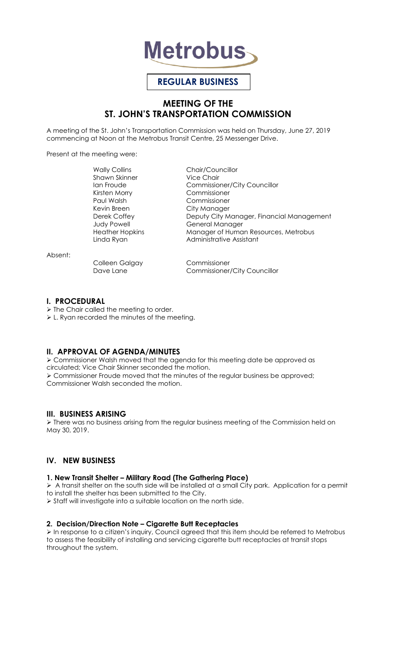

# **REGULAR BUSINESS**

## **MEETING OF THE ST. JOHN'S TRANSPORTATION COMMISSION**

A meeting of the St. John's Transportation Commission was held on Thursday, June 27, 2019 commencing at Noon at the Metrobus Transit Centre, 25 Messenger Drive.

Present at the meeting were:

Wally Collins **Chair/Councillor** Shawn Skinner Vice Chair Kirsten Morry Commissioner Paul Walsh Commissioner Kevin Breen City Manager

Ian Froude Commissioner/City Councillor Deputy City Manager, Financial Management Judy Powell **General Manager** Heather Hopkins Manager of Human Resources, Metrobus Linda Ryan **Administrative Assistant** 

Absent:

Colleen Galgay Commissioner

Dave Lane Commissioner/City Councillor

## **I. PROCEDURAL**

> The Chair called the meeting to order.

L. Ryan recorded the minutes of the meeting.

## **II. APPROVAL OF AGENDA/MINUTES**

 Commissioner Walsh moved that the agenda for this meeting date be approved as circulated; Vice Chair Skinner seconded the motion. Commissioner Froude moved that the minutes of the regular business be approved; Commissioner Walsh seconded the motion.

## **III. BUSINESS ARISING**

 $\triangleright$  There was no business arising from the regular business meeting of the Commission held on May 30, 2019.

## **IV. NEW BUSINESS**

## **1. New Transit Shelter – Military Road (The Gathering Place)**

 $\triangleright$  A transit shelter on the south side will be installed at a small City park. Application for a permit to install the shelter has been submitted to the City.

Staff will investigate into a suitable location on the north side.

## **2. Decision/Direction Note – Cigarette Butt Receptacles**

 In response to a citizen's inquiry, Council agreed that this item should be referred to Metrobus to assess the feasibility of installing and servicing cigarette butt receptacles at transit stops throughout the system.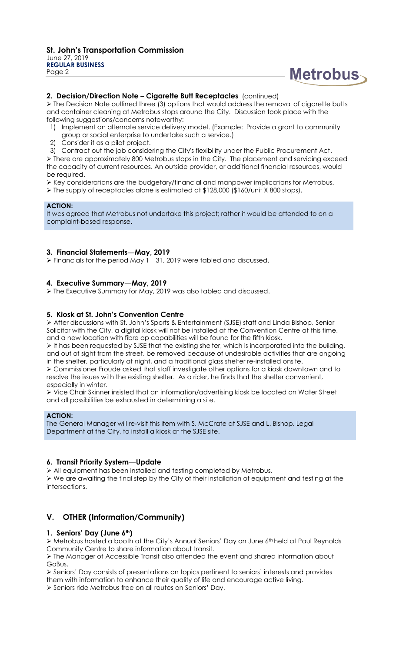

#### **2. Decision/Direction Note – Cigarette Butt Receptacles** (continued)

 $\triangleright$  The Decision Note outlined three (3) options that would address the removal of cigarette butts and container cleaning at Metrobus stops around the City. Discussion took place with the following suggestions/concerns noteworthy:

- 1) Implement an alternate service delivery model. (Example: Provide a grant to community
- group or social enterprise to undertake such a service.)
- 2) Consider it as a pilot project.
- 3) Contract out the job considering the City's flexibility under the Public Procurement Act.

 $\triangleright$  There are approximately 800 Metrobus stops in the City. The placement and servicing exceed the capacity of current resources. An outside provider, or additional financial resources, would be required.

Key considerations are the budgetary/financial and manpower implications for Metrobus.

 $\triangleright$  The supply of receptacles alone is estimated at \$128,000 (\$160/unit X 800 stops).

#### **ACTION:**

It was agreed that Metrobus not undertake this project; rather it would be attended to on a complaint-based response.

#### **3. Financial Statements—May, 2019**

Financials for the period May 1—31, 2019 were tabled and discussed.

### **4. Executive Summary—May, 2019**

The Executive Summary for May, 2019 was also tabled and discussed.

#### **5. Kiosk at St. John's Convention Centre**

 After discussions with St. John's Sports & Entertainment (SJSE) staff and Linda Bishop, Senior Solicitor with the City, a digital kiosk will not be installed at the Convention Centre at this time, and a new location with fibre op capabilities will be found for the fifth kiosk.

 It has been requested by SJSE that the existing shelter, which is incorporated into the building, and out of sight from the street, be removed because of undesirable activities that are ongoing in the shelter, particularly at night, and a traditional glass shelter re-installed onsite.

 Commissioner Froude asked that staff investigate other options for a kiosk downtown and to resolve the issues with the existing shelter. As a rider, he finds that the shelter convenient, especially in winter.

 Vice Chair Skinner insisted that an information/advertising kiosk be located on Water Street and all possibilities be exhausted in determining a site.

#### **ACTION:**

The General Manager will re-visit this item with S. McCrate at SJSE and L. Bishop, Legal Department at the City, to install a kiosk at the SJSE site.

#### **6. Transit Priority System—Update**

All equipment has been installed and testing completed by Metrobus.

 We are awaiting the final step by the City of their installation of equipment and testing at the intersections.

## **V. OTHER (Information/Community)**

#### **1. Seniors' Day (June 6th)**

 Metrobus hosted a booth at the City's Annual Seniors' Day on June 6th held at Paul Reynolds Community Centre to share information about transit.

 $\triangleright$  The Manager of Accessible Transit also attended the event and shared information about GoBus.

 $\triangleright$  Seniors' Day consists of presentations on topics pertinent to seniors' interests and provides them with information to enhance their quality of life and encourage active living.

Seniors ride Metrobus free on all routes on Seniors' Day.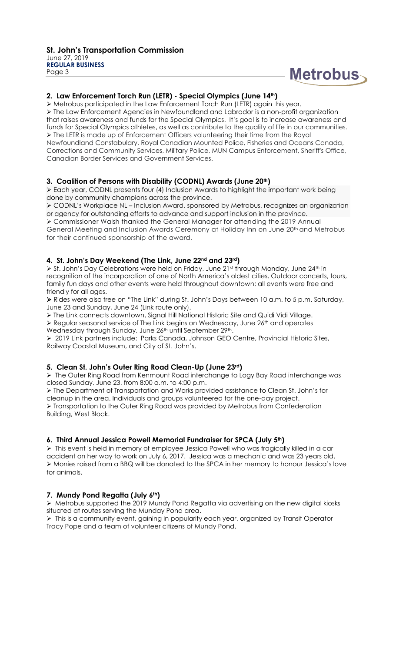

#### **2. Law Enforcement Torch Run (LETR) - Special Olympics (June 14th)**

 $\triangleright$  Metrobus participated in the Law Enforcement Torch Run (LETR) again this year. > The Law Enforcement Agencies in Newfoundland and Labrador is a non-profit organization that raises awareness and funds for the Special Olympics. It's goal is to increase awareness and funds for Special Olympics athletes, as well as contribute to the quality of life in our communities. The LETR is made up of Enforcement Officers volunteering their time from the Royal Newfoundland Constabulary, Royal Canadian Mounted Police, Fisheries and Oceans Canada, Corrections and Community Services, Military Police, MUN Campus Enforcement, Sheriff's Office, Canadian Border Services and Government Services.

#### **3. Coalition of Persons with Disability (CODNL) Awards (June 20th)**

 Each year, CODNL presents four (4) Inclusion Awards to highlight the important work being done by community champions across the province.

 CODNL's Workplace NL – Inclusion Award, sponsored by Metrobus, recognizes an organization or agency for outstanding efforts to advance and support inclusion in the province.

 Commissioner Walsh thanked the General Manager for attending the 2019 Annual General Meeting and Inclusion Awards Ceremony at Holiday Inn on June 20<sup>th</sup> and Metrobus for their continued sponsorship of the award.

#### **4. St. John's Day Weekend (The Link, June 22nd and 23rd)**

> St. John's Day Celebrations were held on Friday, June 21st through Monday, June 24th in recognition of the incorporation of one of North America's oldest cities. Outdoor concerts, tours, family fun days and other events were held throughout downtown; all events were free and friendly for all ages.

 Rides were also free on "The Link" during St. John's Days between 10 a.m. to 5 p.m. Saturday, June 23 and Sunday, June 24 (Link route only).

The Link connects downtown, Signal Hill National Historic Site and Quidi Vidi Village.

 $\triangleright$  Regular seasonal service of The Link begins on Wednesday, June 26<sup>th</sup> and operates Wednesday through Sunday, June 26<sup>th</sup> until September 29<sup>th</sup>.

 2019 Link partners include: Parks Canada, Johnson GEO Centre, Provincial Historic Sites, Railway Coastal Museum, and City of St. John's.

## **5. Clean St. John's Outer Ring Road Clean-Up (June 23rd)**

> The Outer Ring Road from Kenmount Road interchange to Logy Bay Road interchange was closed Sunday, June 23, from 8:00 a.m. to 4:00 p.m.

 The Department of Transportation and Works provided assistance to Clean St. John's for cleanup in the area. Individuals and groups volunteered for the one-day project. Transportation to the Outer Ring Road was provided by Metrobus from Confederation Building, West Block.

## **6. Third Annual Jessica Powell Memorial Fundraiser for SPCA (July 5th)**

 $\triangleright$  This event is held in memory of employee Jessica Powell who was tragically killed in a car accident on her way to work on July 6, 2017. Jessica was a mechanic and was 23 years old. Monies raised from a BBQ will be donated to the SPCA in her memory to honour Jessica's love for animals.

## **7. Mundy Pond Regatta (July 6th)**

 Metrobus supported the 2019 Mundy Pond Regatta via advertising on the new digital kiosks situated at routes serving the Munday Pond area.

> This is a community event, gaining in popularity each year, organized by Transit Operator Tracy Pope and a team of volunteer citizens of Mundy Pond.